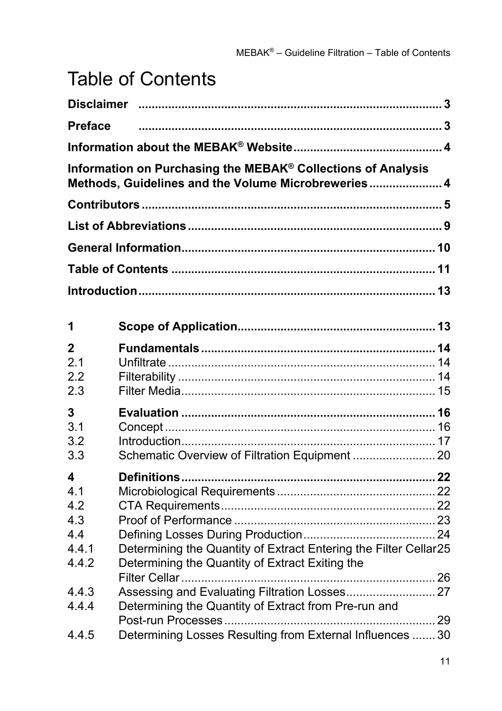## Table of Contents

| <b>Preface</b>                                                    |                                                                                                                                                                             |  |  |
|-------------------------------------------------------------------|-----------------------------------------------------------------------------------------------------------------------------------------------------------------------------|--|--|
|                                                                   |                                                                                                                                                                             |  |  |
|                                                                   | Information on Purchasing the MEBAK® Collections of Analysis<br>Methods, Guidelines and the Volume Microbreweries 4                                                         |  |  |
|                                                                   |                                                                                                                                                                             |  |  |
|                                                                   |                                                                                                                                                                             |  |  |
|                                                                   |                                                                                                                                                                             |  |  |
|                                                                   |                                                                                                                                                                             |  |  |
|                                                                   |                                                                                                                                                                             |  |  |
| 1                                                                 |                                                                                                                                                                             |  |  |
| 2<br>2.1<br>2.2<br>2.3                                            |                                                                                                                                                                             |  |  |
| 3<br>3.1<br>3.2<br>3.3                                            | Schematic Overview of Filtration Equipment  20                                                                                                                              |  |  |
| 4<br>4.1<br>4.2<br>4.3<br>4.4<br>4.4.1<br>4.4.2<br>4.4.3<br>4.4.4 | Determining the Quantity of Extract Entering the Filter Cellar25<br>Determining the Quantity of Extract Exiting the<br>Determining the Quantity of Extract from Pre-run and |  |  |
| 4.4.5                                                             | Determining Losses Resulting from External Influences  30                                                                                                                   |  |  |